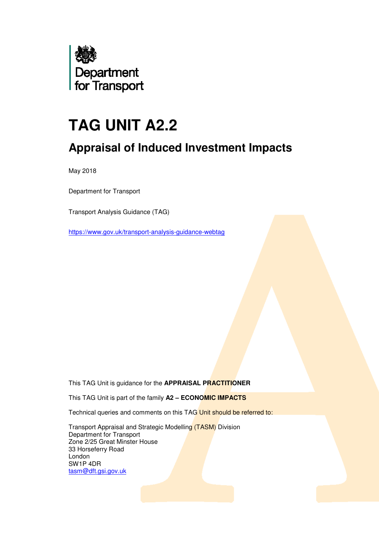

# **TAG UNIT A2.2**

# **Appraisal of Induced Investment Impacts**

May 2018

Department for Transport

Transport Analysis Guidance (TAG)

https://www.gov.uk/transport-analysis-guidance-webtag

This TAG Unit is guidance for the **APPRAISAL PRACTITIONER**

This TAG Unit is part of the family **A2 – ECONOMIC IMPACTS**

Technical queries and comments on this TAG Unit should be referred to:

 Transport Appraisal and Strategic Modelling (TASM) Division Department for Transport Zone 2/25 Great Minster House 33 Horseferry Road London SW1P 4DR tasm@dft.gsi.gov.uk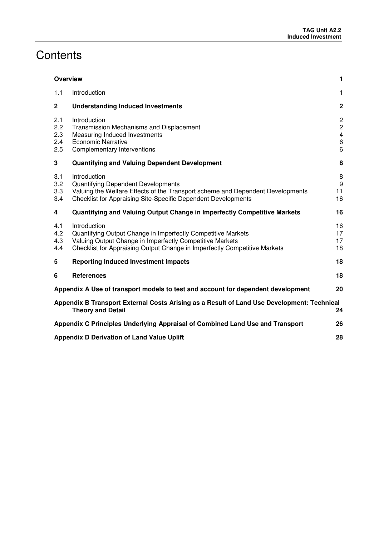# **Contents**

|                                                                                  | <b>Overview</b>                                                                                                              |                                                                                                                                                                                                                       | 1                                                              |
|----------------------------------------------------------------------------------|------------------------------------------------------------------------------------------------------------------------------|-----------------------------------------------------------------------------------------------------------------------------------------------------------------------------------------------------------------------|----------------------------------------------------------------|
|                                                                                  | 1.1                                                                                                                          | Introduction                                                                                                                                                                                                          | 1                                                              |
|                                                                                  | $\mathbf{2}$                                                                                                                 | <b>Understanding Induced Investments</b>                                                                                                                                                                              | $\mathbf 2$                                                    |
|                                                                                  | 2.1<br>2.2<br>2.3<br>2.4<br>2.5                                                                                              | Introduction<br>Transmission Mechanisms and Displacement<br>Measuring Induced Investments<br><b>Economic Narrative</b><br>Complementary Interventions                                                                 | $\sqrt{2}$<br>$\overline{c}$<br>$\overline{4}$<br>$\,6\,$<br>6 |
|                                                                                  | 3                                                                                                                            | Quantifying and Valuing Dependent Development                                                                                                                                                                         | 8                                                              |
|                                                                                  | 3.1<br>3.2<br>3.3<br>3.4                                                                                                     | Introduction<br>Quantifying Dependent Developments<br>Valuing the Welfare Effects of the Transport scheme and Dependent Developments<br><b>Checklist for Appraising Site-Specific Dependent Developments</b>          | 8<br>$\boldsymbol{9}$<br>11<br>16                              |
|                                                                                  | 4                                                                                                                            | Quantifying and Valuing Output Change in Imperfectly Competitive Markets                                                                                                                                              | 16                                                             |
|                                                                                  | 4.1<br>4.2<br>4.3<br>4.4                                                                                                     | Introduction<br>Quantifying Output Change in Imperfectly Competitive Markets<br>Valuing Output Change in Imperfectly Competitive Markets<br>Checklist for Appraising Output Change in Imperfectly Competitive Markets | 16<br>17<br>17<br>18                                           |
|                                                                                  | 5                                                                                                                            | <b>Reporting Induced Investment Impacts</b>                                                                                                                                                                           | 18                                                             |
|                                                                                  | 6                                                                                                                            | <b>References</b>                                                                                                                                                                                                     | 18                                                             |
| Appendix A Use of transport models to test and account for dependent development |                                                                                                                              | 20                                                                                                                                                                                                                    |                                                                |
|                                                                                  | Appendix B Transport External Costs Arising as a Result of Land Use Development: Technical<br><b>Theory and Detail</b><br>24 |                                                                                                                                                                                                                       |                                                                |
|                                                                                  |                                                                                                                              | Appendix C Principles Underlying Appraisal of Combined Land Use and Transport                                                                                                                                         | 26                                                             |
|                                                                                  | <b>Appendix D Derivation of Land Value Uplift</b>                                                                            |                                                                                                                                                                                                                       | 28                                                             |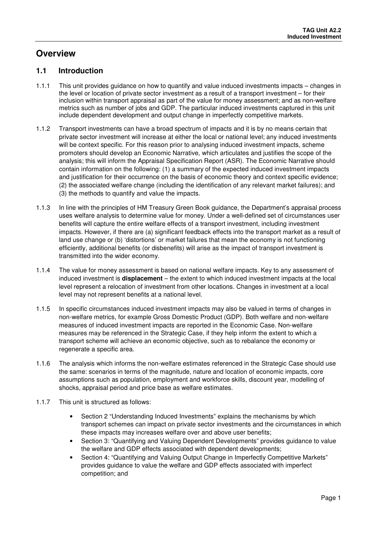# **Overview**

### **1.1 Introduction**

- 1.1.1 This unit provides guidance on how to quantify and value induced investments impacts changes in the level or location of private sector investment as a result of a transport investment – for their inclusion within transport appraisal as part of the value for money assessment; and as non-welfare metrics such as number of jobs and GDP. The particular induced investments captured in this unit include dependent development and output change in imperfectly competitive markets.
- 1.1.2 Transport investments can have a broad spectrum of impacts and it is by no means certain that private sector investment will increase at either the local or national level; any induced investments will be context specific. For this reason prior to analysing induced investment impacts, scheme promoters should develop an Economic Narrative, which articulates and justifies the scope of the analysis; this will inform the Appraisal Specification Report (ASR). The Economic Narrative should contain information on the following: (1) a summary of the expected induced investment impacts and justification for their occurrence on the basis of economic theory and context specific evidence; (2) the associated welfare change (including the identification of any relevant market failures); and (3) the methods to quantify and value the impacts.
- 1.1.3 In line with the principles of HM Treasury Green Book guidance, the Department's appraisal process uses welfare analysis to determine value for money. Under a well-defined set of circumstances user benefits will capture the entire welfare effects of a transport investment, including investment impacts. However, if there are (a) significant feedback effects into the transport market as a result of land use change or (b) 'distortions' or market failures that mean the economy is not functioning efficiently, additional benefits (or disbenefits) will arise as the impact of transport investment is transmitted into the wider economy.
- 1.1.4 The value for money assessment is based on national welfare impacts. Key to any assessment of induced investment is **displacement** – the extent to which induced investment impacts at the local level represent a relocation of investment from other locations. Changes in investment at a local level may not represent benefits at a national level.
- 1.1.5 In specific circumstances induced investment impacts may also be valued in terms of changes in non-welfare metrics, for example Gross Domestic Product (GDP). Both welfare and non-welfare measures of induced investment impacts are reported in the Economic Case. Non-welfare measures may be referenced in the Strategic Case, if they help inform the extent to which a transport scheme will achieve an economic objective, such as to rebalance the economy or regenerate a specific area.
- 1.1.6 The analysis which informs the non-welfare estimates referenced in the Strategic Case should use the same: scenarios in terms of the magnitude, nature and location of economic impacts, core assumptions such as population, employment and workforce skills, discount year, modelling of shocks, appraisal period and price base as welfare estimates.
- 1.1.7 This unit is structured as follows:
	- Section 2 "Understanding Induced Investments" explains the mechanisms by which transport schemes can impact on private sector investments and the circumstances in which these impacts may increases welfare over and above user benefits;
	- Section 3: "Quantifying and Valuing Dependent Developments" provides guidance to value the welfare and GDP effects associated with dependent developments;
	- Section 4: "Quantifying and Valuing Output Change in Imperfectly Competitive Markets" provides guidance to value the welfare and GDP effects associated with imperfect competition; and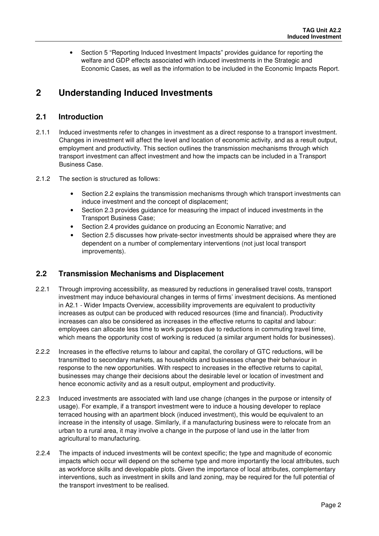• Section 5 "Reporting Induced Investment Impacts" provides guidance for reporting the welfare and GDP effects associated with induced investments in the Strategic and Economic Cases, as well as the information to be included in the Economic Impacts Report.

# **2 Understanding Induced Investments**

# **2.1 Introduction**

- 2.1.1 Induced investments refer to changes in investment as a direct response to a transport investment. Changes in investment will affect the level and location of economic activity, and as a result output, employment and productivity. This section outlines the transmission mechanisms through which transport investment can affect investment and how the impacts can be included in a Transport Business Case.
- 2.1.2 The section is structured as follows:
	- Section 2.2 explains the transmission mechanisms through which transport investments can induce investment and the concept of displacement;
	- Section 2.3 provides guidance for measuring the impact of induced investments in the Transport Business Case;
	- Section 2.4 provides guidance on producing an Economic Narrative; and
	- Section 2.5 discusses how private-sector investments should be appraised where they are dependent on a number of complementary interventions (not just local transport improvements).

## **2.2 Transmission Mechanisms and Displacement**

- 2.2.1 Through improving accessibility, as measured by reductions in generalised travel costs, transport investment may induce behavioural changes in terms of firms' investment decisions. As mentioned in A2.1 - Wider Impacts Overview, accessibility improvements are equivalent to productivity increases as output can be produced with reduced resources (time and financial). Productivity increases can also be considered as increases in the effective returns to capital and labour: employees can allocate less time to work purposes due to reductions in commuting travel time, which means the opportunity cost of working is reduced (a similar argument holds for businesses).
- 2.2.2 Increases in the effective returns to labour and capital, the corollary of GTC reductions, will be transmitted to secondary markets, as households and businesses change their behaviour in response to the new opportunities. With respect to increases in the effective returns to capital, businesses may change their decisions about the desirable level or location of investment and hence economic activity and as a result output, employment and productivity.
- 2.2.3 Induced investments are associated with land use change (changes in the purpose or intensity of usage). For example, if a transport investment were to induce a housing developer to replace terraced housing with an apartment block (induced investment), this would be equivalent to an increase in the intensity of usage. Similarly, if a manufacturing business were to relocate from an urban to a rural area, it may involve a change in the purpose of land use in the latter from agricultural to manufacturing.
- 2.2.4 The impacts of induced investments will be context specific; the type and magnitude of economic impacts which occur will depend on the scheme type and more importantly the local attributes, such as workforce skills and developable plots. Given the importance of local attributes, complementary interventions, such as investment in skills and land zoning, may be required for the full potential of the transport investment to be realised.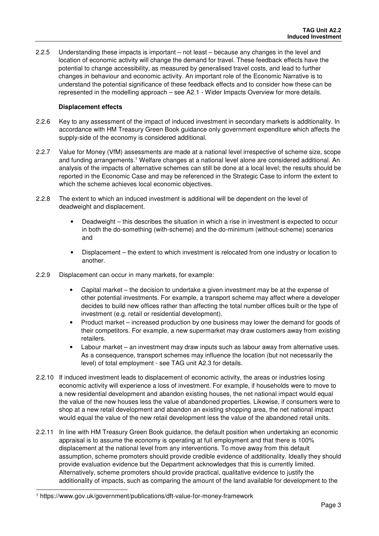2.2.5 Understanding these impacts is important – not least – because any changes in the level and location of economic activity will change the demand for travel. These feedback effects have the potential to change accessibility, as measured by generalised travel costs, and lead to further changes in behaviour and economic activity. An important role of the Economic Narrative is to understand the potential significance of these feedback effects and to consider how these can be represented in the modelling approach – see A2.1 - Wider Impacts Overview for more details.

### **Displacement effects**

- 2.2.6 Key to any assessment of the impact of induced investment in secondary markets is additionality. In accordance with HM Treasury Green Book guidance only government expenditure which affects the supply-side of the economy is considered additional.
- 2.2.7 Value for Money (VfM) assessments are made at a national level irrespective of scheme size, scope and funding arrangements.<sup>1</sup> Welfare changes at a national level alone are considered additional. An analysis of the impacts of alternative schemes can still be done at a local level; the results should be reported in the Economic Case and may be referenced in the Strategic Case to inform the extent to which the scheme achieves local economic objectives.
- 2.2.8 The extent to which an induced investment is additional will be dependent on the level of deadweight and displacement.
	- Deadweight this describes the situation in which a rise in investment is expected to occur in both the do-something (with-scheme) and the do-minimum (without-scheme) scenarios and
	- Displacement the extent to which investment is relocated from one industry or location to another.
- 2.2.9 Displacement can occur in many markets, for example:
	- Capital market the decision to undertake a given investment may be at the expense of other potential investments. For example, a transport scheme may affect where a developer decides to build new offices rather than affecting the total number offices built or the type of investment (e.g. retail or residential development).
	- Product market increased production by one business may lower the demand for goods of their competitors. For example, a new supermarket may draw customers away from existing retailers.
	- Labour market an investment may draw inputs such as labour away from alternative uses. As a consequence, transport schemes may influence the location (but not necessarily the level) of total employment - see TAG unit A2.3 for details.
- 2.2.10 If induced investment leads to displacement of economic activity, the areas or industries losing economic activity will experience a loss of investment. For example, if households were to move to a new residential development and abandon existing houses, the net national impact would equal the value of the new houses less the value of abandoned properties. Likewise, if consumers were to shop at a new retail development and abandon an existing shopping area, the net national impact would equal the value of the new retail development less the value of the abandoned retail units.
- 2.2.11 In line with HM Treasury Green Book guidance, the default position when undertaking an economic appraisal is to assume the economy is operating at full employment and that there is 100% displacement at the national level from any interventions. To move away from this default assumption, scheme promoters should provide credible evidence of additionality. Ideally they should provide evaluation evidence but the Department acknowledges that this is currently limited. Alternatively, scheme promoters should provide practical, qualitative evidence to justify the additionality of impacts, such as comparing the amount of the land available for development to the

l

<sup>1</sup> https://www.gov.uk/government/publications/dft-value-for-money-framework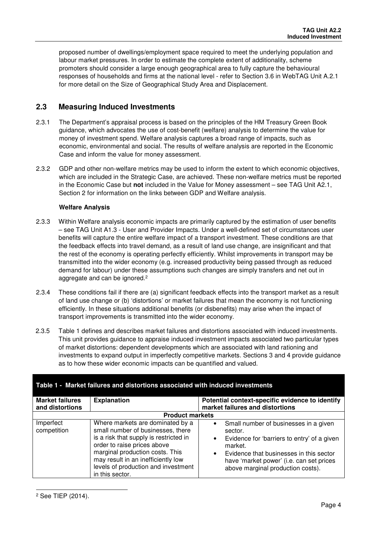proposed number of dwellings/employment space required to meet the underlying population and labour market pressures. In order to estimate the complete extent of additionality, scheme promoters should consider a large enough geographical area to fully capture the behavioural responses of households and firms at the national level - refer to Section 3.6 in WebTAG Unit A.2.1 for more detail on the Size of Geographical Study Area and Displacement.

## **2.3 Measuring Induced Investments**

- 2.3.1 The Department's appraisal process is based on the principles of the HM Treasury Green Book guidance, which advocates the use of cost-benefit (welfare) analysis to determine the value for money of investment spend. Welfare analysis captures a broad range of impacts, such as economic, environmental and social. The results of welfare analysis are reported in the Economic Case and inform the value for money assessment.
- 2.3.2 GDP and other non-welfare metrics may be used to inform the extent to which economic objectives, which are included in the Strategic Case, are achieved. These non-welfare metrics must be reported in the Economic Case but **not** included in the Value for Money assessment – see TAG Unit A2.1, Section 2 for information on the links between GDP and Welfare analysis.

#### **Welfare Analysis**

- 2.3.3 Within Welfare analysis economic impacts are primarily captured by the estimation of user benefits – see TAG Unit A1.3 - User and Provider Impacts. Under a well-defined set of circumstances user benefits will capture the entire welfare impact of a transport investment. These conditions are that the feedback effects into travel demand, as a result of land use change, are insignificant and that the rest of the economy is operating perfectly efficiently. Whilst improvements in transport may be transmitted into the wider economy (e.g. increased productivity being passed through as reduced demand for labour) under these assumptions such changes are simply transfers and net out in aggregate and can be ignored.<sup>2</sup>
- 2.3.4 These conditions fail if there are (a) significant feedback effects into the transport market as a result of land use change or (b) 'distortions' or market failures that mean the economy is not functioning efficiently. In these situations additional benefits (or disbenefits) may arise when the impact of transport improvements is transmitted into the wider economy.
- 2.3.5 Table 1 defines and describes market failures and distortions associated with induced investments. This unit provides guidance to appraise induced investment impacts associated two particular types of market distortions: dependent developments which are associated with land rationing and investments to expand output in imperfectly competitive markets. Sections 3 and 4 provide guidance as to how these wider economic impacts can be quantified and valued.

| <b>Market failures</b><br>and distortions | <b>Explanation</b>                                                                                                                                                                                                                                                                | Potential context-specific evidence to identify<br>market failures and distortions                                                                                                                                                                                            |  |  |
|-------------------------------------------|-----------------------------------------------------------------------------------------------------------------------------------------------------------------------------------------------------------------------------------------------------------------------------------|-------------------------------------------------------------------------------------------------------------------------------------------------------------------------------------------------------------------------------------------------------------------------------|--|--|
|                                           | <b>Product markets</b>                                                                                                                                                                                                                                                            |                                                                                                                                                                                                                                                                               |  |  |
| Imperfect<br>competition                  | Where markets are dominated by a<br>small number of businesses, there<br>is a risk that supply is restricted in<br>order to raise prices above<br>marginal production costs. This<br>may result in an inefficiently low<br>levels of production and investment<br>in this sector. | Small number of businesses in a given<br>$\bullet$<br>sector.<br>Evidence for 'barriers to entry' of a given<br>$\bullet$<br>market.<br>Evidence that businesses in this sector<br>$\bullet$<br>have 'market power' (i.e. can set prices<br>above marginal production costs). |  |  |

### **Table 1 - Market failures and distortions associated with induced investments**

l

<sup>2</sup> See TIEP (2014).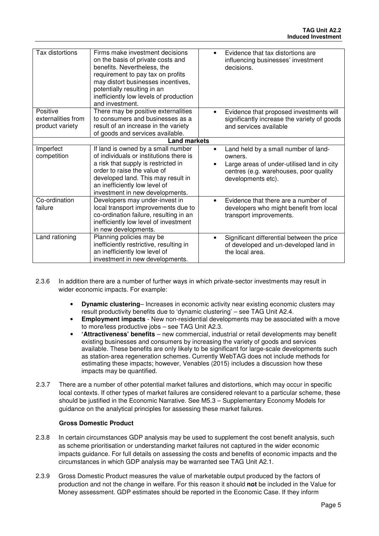| Tax distortions                                   | Firms make investment decisions<br>on the basis of private costs and<br>benefits. Nevertheless, the<br>requirement to pay tax on profits<br>may distort businesses incentives,<br>potentially resulting in an<br>inefficiently low levels of production<br>and investment. |                | Evidence that tax distortions are<br>influencing businesses' investment<br>decisions.                                                                         |  |
|---------------------------------------------------|----------------------------------------------------------------------------------------------------------------------------------------------------------------------------------------------------------------------------------------------------------------------------|----------------|---------------------------------------------------------------------------------------------------------------------------------------------------------------|--|
| Positive<br>externalities from<br>product variety | There may be positive externalities<br>to consumers and businesses as a<br>result of an increase in the variety<br>of goods and services available.                                                                                                                        | ٠              | Evidence that proposed investments will<br>significantly increase the variety of goods<br>and services available                                              |  |
|                                                   | <b>Land markets</b>                                                                                                                                                                                                                                                        |                |                                                                                                                                                               |  |
| Imperfect<br>competition                          | If land is owned by a small number<br>of individuals or institutions there is<br>a risk that supply is restricted in<br>order to raise the value of<br>developed land. This may result in<br>an inefficiently low level of<br>investment in new developments.              | ٠<br>$\bullet$ | Land held by a small number of land-<br>owners.<br>Large areas of under-utilised land in city<br>centres (e.g. warehouses, poor quality<br>developments etc). |  |
| Co-ordination<br>failure                          | Developers may under-invest in<br>local transport improvements due to<br>co-ordination failure, resulting in an<br>inefficiently low level of investment<br>in new developments.                                                                                           |                | Evidence that there are a number of<br>developers who might benefit from local<br>transport improvements.                                                     |  |
| Land rationing                                    | Planning policies may be<br>inefficiently restrictive, resulting in<br>an inefficiently low level of<br>investment in new developments.                                                                                                                                    | $\bullet$      | Significant differential between the price<br>of developed and un-developed land in<br>the local area.                                                        |  |

2.3.6 In addition there are a number of further ways in which private-sector investments may result in wider economic impacts. For example:

- **Dynamic clustering** Increases in economic activity near existing economic clusters may result productivity benefits due to 'dynamic clustering' – see TAG Unit A2.4.
- **Employment impacts** New non-residential developments may be associated with a move to more/less productive jobs – see TAG Unit A2.3.
- **'Attractiveness' benefits**  new commercial, industrial or retail developments may benefit existing businesses and consumers by increasing the variety of goods and services available. These benefits are only likely to be significant for large-scale developments such as station-area regeneration schemes. Currently WebTAG does not include methods for estimating these impacts; however, Venables (2015) includes a discussion how these impacts may be quantified.
- 2.3.7 There are a number of other potential market failures and distortions, which may occur in specific local contexts. If other types of market failures are considered relevant to a particular scheme, these should be justified in the Economic Narrative. See M5.3 – Supplementary Economy Models for guidance on the analytical principles for assessing these market failures.

### **Gross Domestic Product**

- 2.3.8 In certain circumstances GDP analysis may be used to supplement the cost benefit analysis, such as scheme prioritisation or understanding market failures not captured in the wider economic impacts guidance. For full details on assessing the costs and benefits of economic impacts and the circumstances in which GDP analysis may be warranted see TAG Unit A2.1.
- 2.3.9 Gross Domestic Product measures the value of marketable output produced by the factors of production and not the change in welfare. For this reason it should **not** be included in the Value for Money assessment. GDP estimates should be reported in the Economic Case. If they inform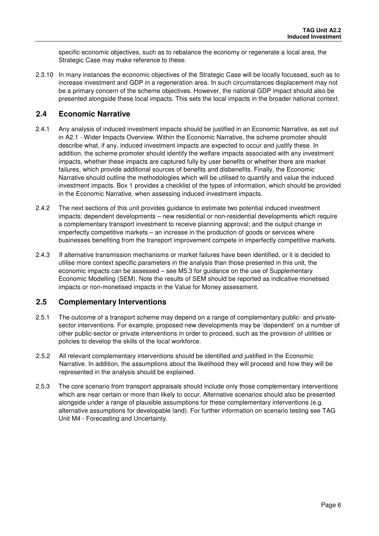specific economic objectives, such as to rebalance the economy or regenerate a local area, the Strategic Case may make reference to these.

2.3.10 In many instances the economic objectives of the Strategic Case will be locally focussed, such as to increase investment and GDP in a regeneration area. In such circumstances displacement may not be a primary concern of the scheme objectives. However, the national GDP impact should also be presented alongside these local impacts. This sets the local impacts in the broader national context.

### **2.4 Economic Narrative**

- 2.4.1 Any analysis of induced investment impacts should be justified in an Economic Narrative, as set out in A2.1 - Wider Impacts Overview. Within the Economic Narrative, the scheme promoter should describe what, if any, induced investment impacts are expected to occur and justify these. In addition, the scheme promoter should identify the welfare impacts associated with any investment impacts, whether these impacts are captured fully by user benefits or whether there are market failures, which provide additional sources of benefits and disbenefits. Finally, the Economic Narrative should outline the methodologies which will be utilised to quantify and value the induced investment impacts. Box 1 provides a checklist of the types of information, which should be provided in the Economic Narrative, when assessing induced investment impacts.
- 2.4.2 The next sections of this unit provides guidance to estimate two potential induced investment impacts: dependent developments – new residential or non-residential developments which require a complementary transport investment to receive planning approval; and the output change in imperfectly competitive markets – an increase in the production of goods or services where businesses benefiting from the transport improvement compete in imperfectly competitive markets.
- 2.4.3 If alternative transmission mechanisms or market failures have been identified, or it is decided to utilise more context specific parameters in the analysis than those presented in this unit, the economic impacts can be assessed – see M5.3 for guidance on the use of Supplementary Economic Modelling (SEM). Note the results of SEM should be reported as indicative monetised impacts or non-monetised impacts in the Value for Money assessment.

### **2.5 Complementary Interventions**

- 2.5.1 The outcome of a transport scheme may depend on a range of complementary public- and privatesector interventions. For example, proposed new developments may be 'dependent' on a number of other public-sector or private interventions in order to proceed, such as the provision of utilities or policies to develop the skills of the local workforce.
- 2.5.2 All relevant complementary interventions should be identified and justified in the Economic Narrative. In addition, the assumptions about the likelihood they will proceed and how they will be represented in the analysis should be explained.
- 2.5.3 The core scenario from transport appraisals should include only those complementary interventions which are near certain or more than likely to occur. Alternative scenarios should also be presented alongside under a range of plausible assumptions for these complementary interventions (e.g. alternative assumptions for developable land). For further information on scenario testing see TAG Unit M4 - Forecasting and Uncertainty.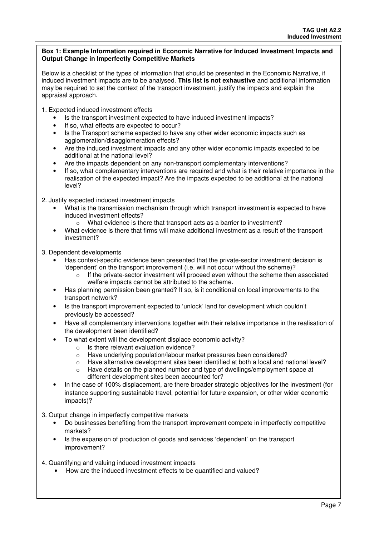#### **Box 1: Example Information required in Economic Narrative for Induced Investment Impacts and Output Change in Imperfectly Competitive Markets**

Below is a checklist of the types of information that should be presented in the Economic Narrative, if induced investment impacts are to be analysed. **This list is not exhaustive** and additional information may be required to set the context of the transport investment, justify the impacts and explain the appraisal approach.

1. Expected induced investment effects

- Is the transport investment expected to have induced investment impacts?
- If so, what effects are expected to occur?
- Is the Transport scheme expected to have any other wider economic impacts such as agglomeration/disagglomeration effects?
- Are the induced investment impacts and any other wider economic impacts expected to be additional at the national level?
- Are the impacts dependent on any non-transport complementary interventions?
- If so, what complementary interventions are required and what is their relative importance in the realisation of the expected impact? Are the impacts expected to be additional at the national level?

2. Justify expected induced investment impacts

- What is the transmission mechanism through which transport investment is expected to have induced investment effects?
	- o What evidence is there that transport acts as a barrier to investment?
- What evidence is there that firms will make additional investment as a result of the transport investment?

3. Dependent developments

- Has context-specific evidence been presented that the private-sector investment decision is 'dependent' on the transport improvement (i.e. will not occur without the scheme)?
	- If the private-sector investment will proceed even without the scheme then associated welfare impacts cannot be attributed to the scheme.
- Has planning permission been granted? If so, is it conditional on local improvements to the transport network?
- Is the transport improvement expected to 'unlock' land for development which couldn't previously be accessed?
- Have all complementary interventions together with their relative importance in the realisation of the development been identified?
- To what extent will the development displace economic activity?
	- o Is there relevant evaluation evidence?
	- o Have underlying population/labour market pressures been considered?
	- o Have alternative development sites been identified at both a local and national level?
	- $\circ$  Have details on the planned number and type of dwellings/employment space at different development sites been accounted for?
- In the case of 100% displacement, are there broader strategic objectives for the investment (for instance supporting sustainable travel, potential for future expansion, or other wider economic impacts)?
- 3. Output change in imperfectly competitive markets
	- Do businesses benefiting from the transport improvement compete in imperfectly competitive markets?
	- Is the expansion of production of goods and services 'dependent' on the transport improvement?
- 4. Quantifying and valuing induced investment impacts
	- How are the induced investment effects to be quantified and valued?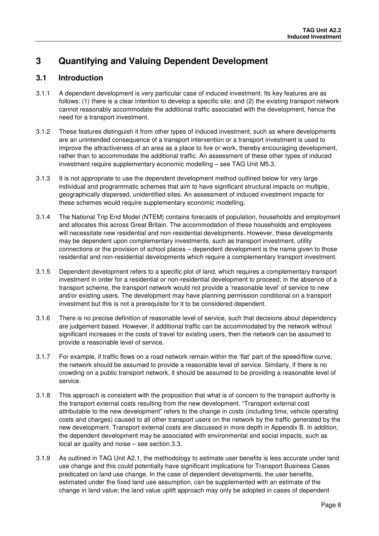# **3 Quantifying and Valuing Dependent Development**

## **3.1 Introduction**

- 3.1.1 A dependent development is very particular case of induced investment. Its key features are as follows: (1) there is a clear intention to develop a specific site; and (2) the existing transport network cannot reasonably accommodate the additional traffic associated with the development, hence the need for a transport investment.
- 3.1.2 These features distinguish it from other types of induced investment, such as where developments are an unintended consequence of a transport intervention or a transport investment is used to improve the attractiveness of an area as a place to live or work, thereby encouraging development, rather than to accommodate the additional traffic. An assessment of these other types of induced investment require supplementary economic modelling – see TAG Unit M5.3.
- 3.1.3 It is not appropriate to use the dependent development method outlined below for very large individual and programmatic schemes that aim to have significant structural impacts on multiple, geographically dispersed, unidentified sites. An assessment of induced investment impacts for these schemes would require supplementary economic modelling.
- 3.1.4 The National Trip End Model (NTEM) contains forecasts of population, households and employment and allocates this across Great Britain. The accommodation of these households and employees will necessitate new residential and non-residential developments. However, these developments may be dependent upon complementary investments, such as transport investment, utility connections or the provision of school places – dependent development is the name given to those residential and non-residential developments which require a complementary transport investment.
- 3.1.5 Dependent development refers to a specific plot of land, which requires a complementary transport investment in order for a residential or non-residential development to proceed; in the absence of a transport scheme, the transport network would not provide a 'reasonable level' of service to new and/or existing users. The development may have planning permission conditional on a transport investment but this is not a prerequisite for it to be considered dependent.
- 3.1.6 There is no precise definition of reasonable level of service, such that decisions about dependency are judgement based. However, if additional traffic can be accommodated by the network without significant increases in the costs of travel for existing users, then the network can be assumed to provide a reasonable level of service.
- 3.1.7 For example, if traffic flows on a road network remain within the 'flat' part of the speed/flow curve, the network should be assumed to provide a reasonable level of service. Similarly, if there is no crowding on a public transport network, it should be assumed to be providing a reasonable level of service.
- 3.1.8 This approach is consistent with the proposition that what is of concern to the transport authority is the transport external costs resulting from the new development. "Transport external cost attributable to the new development" refers to the change in costs (including time, vehicle operating costs and charges) caused to all other transport users on the network by the traffic generated by the new development. Transport external costs are discussed in more depth in Appendix B. In addition, the dependent development may be associated with environmental and social impacts, such as local air quality and noise – see section 3.3.
- 3.1.9 As outlined in TAG Unit A2.1, the methodology to estimate user benefits is less accurate under land use change and this could potentially have significant implications for Transport Business Cases predicated on land use change. In the case of dependent developments, the user benefits, estimated under the fixed land use assumption, can be supplemented with an estimate of the change in land value; the land value uplift approach may only be adopted in cases of dependent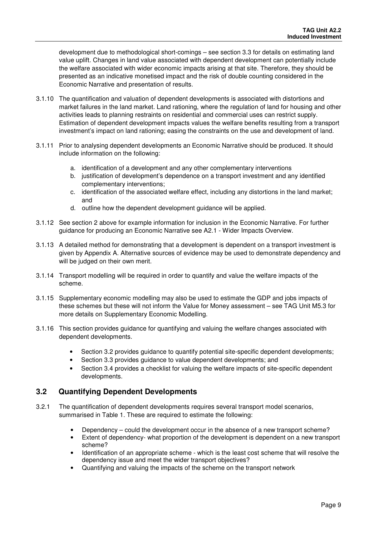development due to methodological short-comings – see section 3.3 for details on estimating land value uplift. Changes in land value associated with dependent development can potentially include the welfare associated with wider economic impacts arising at that site. Therefore, they should be presented as an indicative monetised impact and the risk of double counting considered in the Economic Narrative and presentation of results.

- 3.1.10 The quantification and valuation of dependent developments is associated with distortions and market failures in the land market. Land rationing, where the regulation of land for housing and other activities leads to planning restraints on residential and commercial uses can restrict supply. Estimation of dependent development impacts values the welfare benefits resulting from a transport investment's impact on land rationing; easing the constraints on the use and development of land.
- 3.1.11 Prior to analysing dependent developments an Economic Narrative should be produced. It should include information on the following:
	- a. identification of a development and any other complementary interventions
	- b. justification of development's dependence on a transport investment and any identified complementary interventions;
	- c. identification of the associated welfare effect, including any distortions in the land market; and
	- d. outline how the dependent development guidance will be applied.
- 3.1.12 See section 2 above for example information for inclusion in the Economic Narrative. For further guidance for producing an Economic Narrative see A2.1 - Wider Impacts Overview.
- 3.1.13 A detailed method for demonstrating that a development is dependent on a transport investment is given by Appendix A. Alternative sources of evidence may be used to demonstrate dependency and will be judged on their own merit.
- 3.1.14 Transport modelling will be required in order to quantify and value the welfare impacts of the scheme.
- 3.1.15 Supplementary economic modelling may also be used to estimate the GDP and jobs impacts of these schemes but these will not inform the Value for Money assessment – see TAG Unit M5.3 for more details on Supplementary Economic Modelling.
- 3.1.16 This section provides guidance for quantifying and valuing the welfare changes associated with dependent developments.
	- Section 3.2 provides guidance to quantify potential site-specific dependent developments;
	- Section 3.3 provides guidance to value dependent developments; and
	- Section 3.4 provides a checklist for valuing the welfare impacts of site-specific dependent developments.

### **3.2 Quantifying Dependent Developments**

- 3.2.1 The quantification of dependent developments requires several transport model scenarios, summarised in Table 1. These are required to estimate the following:
	- Dependency could the development occur in the absence of a new transport scheme?
	- Extent of dependency- what proportion of the development is dependent on a new transport scheme?
	- Identification of an appropriate scheme which is the least cost scheme that will resolve the dependency issue and meet the wider transport objectives?
	- Quantifying and valuing the impacts of the scheme on the transport network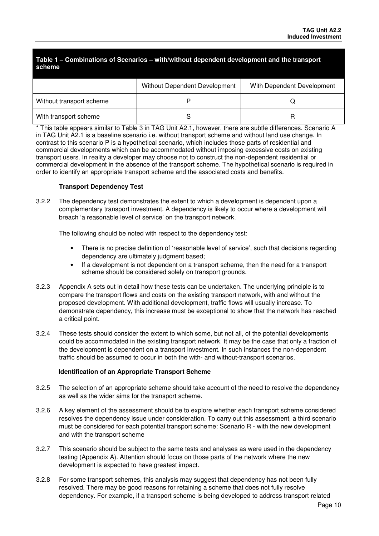### **Table 1 – Combinations of Scenarios – with/without dependent development and the transport scheme**

|                          | Without Dependent Development | With Dependent Development |
|--------------------------|-------------------------------|----------------------------|
| Without transport scheme |                               |                            |
| With transport scheme    |                               |                            |

This table appears similar to Table 3 in TAG Unit A2.1, however, there are subtle differences. Scenario A in TAG Unit A2.1 is a baseline scenario i.e. without transport scheme and without land use change. In contrast to this scenario P is a hypothetical scenario, which includes those parts of residential and commercial developments which can be accommodated without imposing excessive costs on existing transport users. In reality a developer may choose not to construct the non-dependent residential or commercial development in the absence of the transport scheme. The hypothetical scenario is required in order to identify an appropriate transport scheme and the associated costs and benefits.

### **Transport Dependency Test**

3.2.2 The dependency test demonstrates the extent to which a development is dependent upon a complementary transport investment. A dependency is likely to occur where a development will breach 'a reasonable level of service' on the transport network.

The following should be noted with respect to the dependency test:

- There is no precise definition of 'reasonable level of service', such that decisions regarding dependency are ultimately judgment based;
- If a development is not dependent on a transport scheme, then the need for a transport scheme should be considered solely on transport grounds.
- 3.2.3 Appendix A sets out in detail how these tests can be undertaken. The underlying principle is to compare the transport flows and costs on the existing transport network, with and without the proposed development. With additional development, traffic flows will usually increase. To demonstrate dependency, this increase must be exceptional to show that the network has reached a critical point.
- 3.2.4 These tests should consider the extent to which some, but not all, of the potential developments could be accommodated in the existing transport network. It may be the case that only a fraction of the development is dependent on a transport investment. In such instances the non-dependent traffic should be assumed to occur in both the with- and without-transport scenarios.

### **Identification of an Appropriate Transport Scheme**

- 3.2.5 The selection of an appropriate scheme should take account of the need to resolve the dependency as well as the wider aims for the transport scheme.
- 3.2.6 A key element of the assessment should be to explore whether each transport scheme considered resolves the dependency issue under consideration. To carry out this assessment, a third scenario must be considered for each potential transport scheme: Scenario R - with the new development and with the transport scheme
- 3.2.7 This scenario should be subject to the same tests and analyses as were used in the dependency testing (Appendix A). Attention should focus on those parts of the network where the new development is expected to have greatest impact.
- 3.2.8 For some transport schemes, this analysis may suggest that dependency has not been fully resolved. There may be good reasons for retaining a scheme that does not fully resolve dependency. For example, if a transport scheme is being developed to address transport related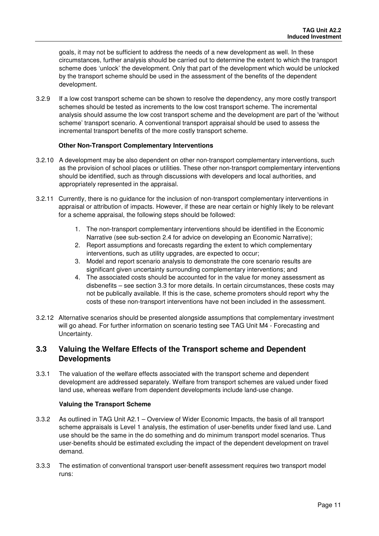goals, it may not be sufficient to address the needs of a new development as well. In these circumstances, further analysis should be carried out to determine the extent to which the transport scheme does 'unlock' the development. Only that part of the development which would be unlocked by the transport scheme should be used in the assessment of the benefits of the dependent development.

3.2.9 If a low cost transport scheme can be shown to resolve the dependency, any more costly transport schemes should be tested as increments to the low cost transport scheme. The incremental analysis should assume the low cost transport scheme and the development are part of the 'without scheme' transport scenario. A conventional transport appraisal should be used to assess the incremental transport benefits of the more costly transport scheme.

### **Other Non-Transport Complementary Interventions**

- 3.2.10 A development may be also dependent on other non-transport complementary interventions, such as the provision of school places or utilities. These other non-transport complementary interventions should be identified, such as through discussions with developers and local authorities, and appropriately represented in the appraisal.
- 3.2.11 Currently, there is no guidance for the inclusion of non-transport complementary interventions in appraisal or attribution of impacts. However, if these are near certain or highly likely to be relevant for a scheme appraisal, the following steps should be followed:
	- 1. The non-transport complementary interventions should be identified in the Economic Narrative (see sub-section 2.4 for advice on developing an Economic Narrative);
	- 2. Report assumptions and forecasts regarding the extent to which complementary interventions, such as utility upgrades, are expected to occur;
	- 3. Model and report scenario analysis to demonstrate the core scenario results are significant given uncertainty surrounding complementary interventions; and
	- 4. The associated costs should be accounted for in the value for money assessment as disbenefits – see section 3.3 for more details. In certain circumstances, these costs may not be publically available. If this is the case, scheme promoters should report why the costs of these non-transport interventions have not been included in the assessment.
- 3.2.12 Alternative scenarios should be presented alongside assumptions that complementary investment will go ahead. For further information on scenario testing see TAG Unit M4 - Forecasting and Uncertainty.

## **3.3 Valuing the Welfare Effects of the Transport scheme and Dependent Developments**

3.3.1 The valuation of the welfare effects associated with the transport scheme and dependent development are addressed separately. Welfare from transport schemes are valued under fixed land use, whereas welfare from dependent developments include land-use change.

#### **Valuing the Transport Scheme**

- 3.3.2 As outlined in TAG Unit A2.1 Overview of Wider Economic Impacts, the basis of all transport scheme appraisals is Level 1 analysis, the estimation of user-benefits under fixed land use. Land use should be the same in the do something and do minimum transport model scenarios. Thus user-benefits should be estimated excluding the impact of the dependent development on travel demand.
- 3.3.3 The estimation of conventional transport user-benefit assessment requires two transport model runs: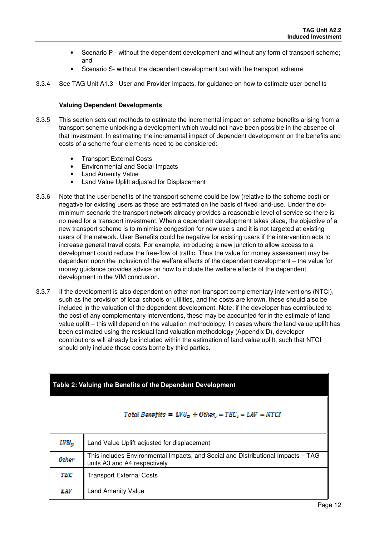- Scenario P without the dependent development and without any form of transport scheme; and
- Scenario S- without the dependent development but with the transport scheme
- 3.3.4 See TAG Unit A1.3 User and Provider Impacts, for guidance on how to estimate user-benefits

### **Valuing Dependent Developments**

- 3.3.5 This section sets out methods to estimate the incremental impact on scheme benefits arising from a transport scheme unlocking a development which would not have been possible in the absence of that investment. In estimating the incremental impact of dependent development on the benefits and costs of a scheme four elements need to be considered:
	- Transport External Costs
	- Environmental and Social Impacts
	- Land Amenity Value
	- Land Value Uplift adjusted for Displacement
- 3.3.6 Note that the user benefits of the transport scheme could be low (relative to the scheme cost) or negative for existing users as these are estimated on the basis of fixed land-use. Under the dominimum scenario the transport network already provides a reasonable level of service so there is no need for a transport investment. When a dependent development takes place, the objective of a new transport scheme is to minimise congestion for new users and it is not targeted at existing users of the network. User Benefits could be negative for existing users if the intervention acts to increase general travel costs. For example, introducing a new junction to allow access to a development could reduce the free-flow of traffic. Thus the value for money assessment may be dependent upon the inclusion of the welfare effects of the dependent development – the value for money guidance provides advice on how to include the welfare effects of the dependent development in the VfM conclusion.
- 3.3.7 If the development is also dependent on other non-transport complementary interventions (NTCI), such as the provision of local schools or utilities, and the costs are known, these should also be included in the valuation of the dependent development. Note: if the developer has contributed to the cost of any complementary interventions, these may be accounted for in the estimate of land value uplift – this will depend on the valuation methodology. In cases where the land value uplift has been estimated using the residual land valuation methodology (Appendix D), developer contributions will already be included within the estimation of land value uplift, such that NTCI should only include those costs borne by third parties.

| Table 2: Valuing the Benefits of the Dependent Development |                                                                                                                  |  |
|------------------------------------------------------------|------------------------------------------------------------------------------------------------------------------|--|
|                                                            | Total Benefits = $LVV_n + Othen_n - TEC_n - LAV - NTCI$                                                          |  |
| $LVU_n$                                                    | Land Value Uplift adjusted for displacement                                                                      |  |
| <b>Other</b>                                               | This includes Environmental Impacts, and Social and Distributional Impacts - TAG<br>units A3 and A4 respectively |  |
| TEC.                                                       | <b>Transport External Costs</b>                                                                                  |  |
| LAV                                                        | <b>Land Amenity Value</b>                                                                                        |  |

### **Table 2: Valuing the Benefits of the Dependent Development**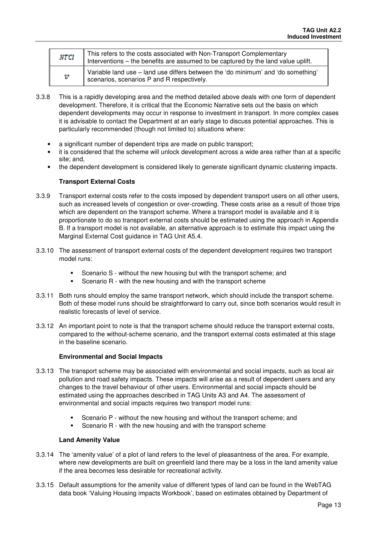| <b>NTCI</b> | This refers to the costs associated with Non-Transport Complementary<br>Interventions – the benefits are assumed to be captured by the land value uplift. |
|-------------|-----------------------------------------------------------------------------------------------------------------------------------------------------------|
| v           | ∥ Variable land use – land use differs between the 'do minimum' and 'do something'<br>scenarios, scenarios P and R respectively.                          |

- 3.3.8 This is a rapidly developing area and the method detailed above deals with one form of dependent development. Therefore, it is critical that the Economic Narrative sets out the basis on which dependent developments may occur in response to investment in transport. In more complex cases it is advisable to contact the Department at an early stage to discuss potential approaches. This is particularly recommended (though not limited to) situations where:
	- a significant number of dependent trips are made on public transport;
	- it is considered that the scheme will unlock development across a wide area rather than at a specific site; and,
	- the dependent development is considered likely to generate significant dynamic clustering impacts.

#### **Transport External Costs**

- 3.3.9 Transport external costs refer to the costs imposed by dependent transport users on all other users, such as increased levels of congestion or over-crowding. These costs arise as a result of those trips which are dependent on the transport scheme. Where a transport model is available and it is proportionate to do so transport external costs should be estimated using the approach in Appendix B. If a transport model is not available, an alternative approach is to estimate this impact using the Marginal External Cost guidance in TAG Unit A5.4.
- 3.3.10 The assessment of transport external costs of the dependent development requires two transport model runs:
	- Scenario S without the new housing but with the transport scheme; and
	- **Scenario R** with the new housing and with the transport scheme
- 3.3.11 Both runs should employ the same transport network, which should include the transport scheme. Both of these model runs should be straightforward to carry out, since both scenarios would result in realistic forecasts of level of service.
- 3.3.12 An important point to note is that the transport scheme should reduce the transport external costs, compared to the without-scheme scenario, and the transport external costs estimated at this stage in the baseline scenario.

#### **Environmental and Social Impacts**

- 3.3.13 The transport scheme may be associated with environmental and social impacts, such as local air pollution and road safety impacts. These impacts will arise as a result of dependent users and any changes to the travel behaviour of other users. Environmental and social impacts should be estimated using the approaches described in TAG Units A3 and A4. The assessment of environmental and social impacts requires two transport model runs:
	- Scenario P without the new housing and without the transport scheme; and
	- **Scenario R** with the new housing and with the transport scheme

#### **Land Amenity Value**

- 3.3.14 The 'amenity value' of a plot of land refers to the level of pleasantness of the area. For example, where new developments are built on greenfield land there may be a loss in the land amenity value if the area becomes less desirable for recreational activity.
- 3.3.15 Default assumptions for the amenity value of different types of land can be found in the WebTAG data book 'Valuing Housing impacts Workbook', based on estimates obtained by Department of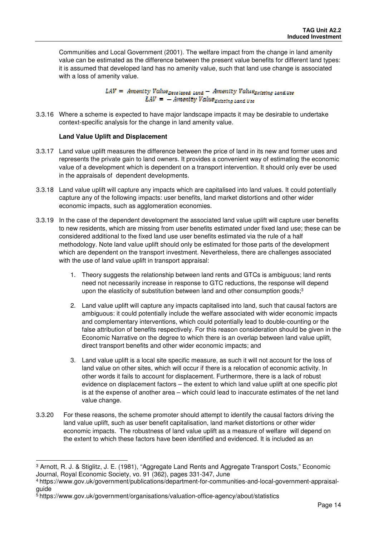Communities and Local Government (2001). The welfare impact from the change in land amenity value can be estimated as the difference between the present value benefits for different land types: it is assumed that developed land has no amenity value, such that land use change is associated with a loss of amenity value.

> $LAV =$  Amenity Value peveloped Land - Amenity Value Existing Land Vse  $LAV = -$  Amenity Value  $_{Existions}$  Land Use

3.3.16 Where a scheme is expected to have major landscape impacts it may be desirable to undertake context-specific analysis for the change in land amenity value.

### **Land Value Uplift and Displacement**

- 3.3.17 Land value uplift measures the difference between the price of land in its new and former uses and represents the private gain to land owners. It provides a convenient way of estimating the economic value of a development which is dependent on a transport intervention. It should only ever be used in the appraisals of dependent developments.
- 3.3.18 Land value uplift will capture any impacts which are capitalised into land values. It could potentially capture any of the following impacts: user benefits, land market distortions and other wider economic impacts, such as agglomeration economies.
- 3.3.19 In the case of the dependent development the associated land value uplift will capture user benefits to new residents, which are missing from user benefits estimated under fixed land use; these can be considered additional to the fixed land use user benefits estimated via the rule of a half methodology. Note land value uplift should only be estimated for those parts of the development which are dependent on the transport investment. Nevertheless, there are challenges associated with the use of land value uplift in transport appraisal:
	- 1. Theory suggests the relationship between land rents and GTCs is ambiguous; land rents need not necessarily increase in response to GTC reductions, the response will depend upon the elasticity of substitution between land and other consumption goods; $3$
	- 2. Land value uplift will capture any impacts capitalised into land, such that causal factors are ambiguous: it could potentially include the welfare associated with wider economic impacts and complementary interventions, which could potentially lead to double-counting or the false attribution of benefits respectively. For this reason consideration should be given in the Economic Narrative on the degree to which there is an overlap between land value uplift, direct transport benefits and other wider economic impacts; and
	- 3. Land value uplift is a local site specific measure, as such it will not account for the loss of land value on other sites, which will occur if there is a relocation of economic activity. In other words it fails to account for displacement. Furthermore, there is a lack of robust evidence on displacement factors – the extent to which land value uplift at one specific plot is at the expense of another area – which could lead to inaccurate estimates of the net land value change.
- 3.3.20 For these reasons, the scheme promoter should attempt to identify the causal factors driving the land value uplift, such as user benefit capitalisation, land market distortions or other wider economic impacts. The robustness of land value uplift as a measure of welfare will depend on the extent to which these factors have been identified and evidenced. It is included as an

l 3 Arnott, R. J. & Stiglitz, J. E. (1981), "Aggregate Land Rents and Aggregate Transport Costs," Economic Journal, Royal Economic Society, vo. 91 (362), pages 331-347, June

<sup>4</sup> https://www.gov.uk/government/publications/department-for-communities-and-local-government-appraisalguide

<sup>5</sup> https://www.gov.uk/government/organisations/valuation-office-agency/about/statistics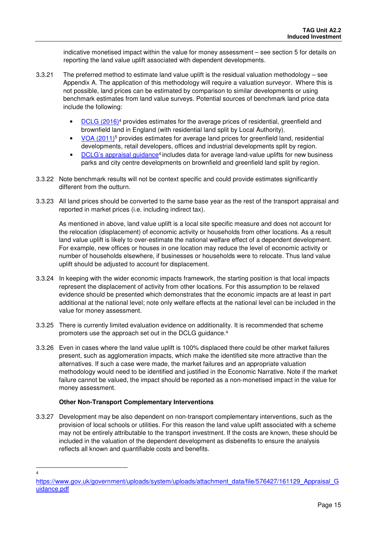indicative monetised impact within the value for money assessment – see section 5 for details on reporting the land value uplift associated with dependent developments.

- 3.3.21 The preferred method to estimate land value uplift is the residual valuation methodology see Appendix A. The application of this methodology will require a valuation surveyor. Where this is not possible, land prices can be estimated by comparison to similar developments or using benchmark estimates from land value surveys. Potential sources of benchmark land price data include the following:
	- DCLG (2016)<sup>4</sup> provides estimates for the average prices of residential, greenfield and brownfield land in England (with residential land split by Local Authority).
	- VOA (2011)<sup>5</sup> provides estimates for average land prices for greenfield land, residential developments, retail developers, offices and industrial developments split by region.
	- DCLG's appraisal guidance<sup>4</sup> includes data for average land-value uplifts for new business parks and city centre developments on brownfield and greenfield land split by region.
- 3.3.22 Note benchmark results will not be context specific and could provide estimates significantly different from the outturn.
- 3.3.23 All land prices should be converted to the same base year as the rest of the transport appraisal and reported in market prices (i.e. including indirect tax).

As mentioned in above, land value uplift is a local site specific measure and does not account for the relocation (displacement) of economic activity or households from other locations. As a result land value uplift is likely to over-estimate the national welfare effect of a dependent development. For example, new offices or houses in one location may reduce the level of economic activity or number of households elsewhere, if businesses or households were to relocate. Thus land value uplift should be adjusted to account for displacement.

- 3.3.24 In keeping with the wider economic impacts framework, the starting position is that local impacts represent the displacement of activity from other locations. For this assumption to be relaxed evidence should be presented which demonstrates that the economic impacts are at least in part additional at the national level; note only welfare effects at the national level can be included in the value for money assessment.
- 3.3.25 There is currently limited evaluation evidence on additionality. It is recommended that scheme promoters use the approach set out in the DCLG guidance.<sup>4</sup>
- 3.3.26 Even in cases where the land value uplift is 100% displaced there could be other market failures present, such as agglomeration impacts, which make the identified site more attractive than the alternatives. If such a case were made, the market failures and an appropriate valuation methodology would need to be identified and justified in the Economic Narrative. Note if the market failure cannot be valued, the impact should be reported as a non-monetised impact in the value for money assessment.

### **Other Non-Transport Complementary Interventions**

3.3.27 Development may be also dependent on non-transport complementary interventions, such as the provision of local schools or utilities. For this reason the land value uplift associated with a scheme may not be entirely attributable to the transport investment. If the costs are known, these should be included in the valuation of the dependent development as disbenefits to ensure the analysis reflects all known and quantifiable costs and benefits.

l 4

https://www.gov.uk/government/uploads/system/uploads/attachment\_data/file/576427/161129\_Appraisal\_G uidance.pdf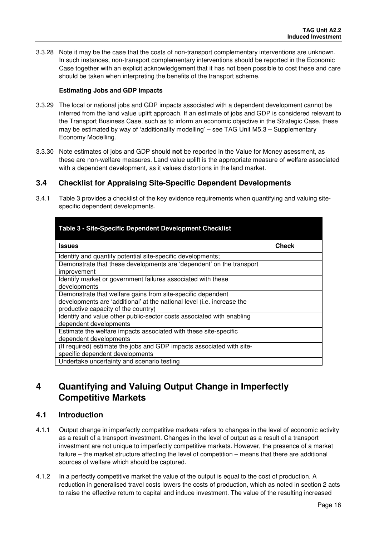3.3.28 Note it may be the case that the costs of non-transport complementary interventions are unknown. In such instances, non-transport complementary interventions should be reported in the Economic Case together with an explicit acknowledgement that it has not been possible to cost these and care should be taken when interpreting the benefits of the transport scheme.

### **Estimating Jobs and GDP Impacts**

- 3.3.29 The local or national jobs and GDP impacts associated with a dependent development cannot be inferred from the land value uplift approach. If an estimate of jobs and GDP is considered relevant to the Transport Business Case, such as to inform an economic objective in the Strategic Case, these may be estimated by way of 'additionality modelling' – see TAG Unit M5.3 – Supplementary Economy Modelling.
- 3.3.30 Note estimates of jobs and GDP should **not** be reported in the Value for Money asessment, as these are non-welfare measures. Land value uplift is the appropriate measure of welfare associated with a dependent development, as it values distortions in the land market.

### **3.4 Checklist for Appraising Site-Specific Dependent Developments**

3.4.1 Table 3 provides a checklist of the key evidence requirements when quantifying and valuing sitespecific dependent developments.

| Table 3 - Site-Specific Dependent Development Checklist                                                                                                                      |              |
|------------------------------------------------------------------------------------------------------------------------------------------------------------------------------|--------------|
| Issues                                                                                                                                                                       | <b>Check</b> |
| Identify and quantify potential site-specific developments;                                                                                                                  |              |
| Demonstrate that these developments are 'dependent' on the transport<br>improvement                                                                                          |              |
| Identify market or government failures associated with these<br>developments                                                                                                 |              |
| Demonstrate that welfare gains from site-specific dependent<br>developments are 'additional' at the national level (i.e. increase the<br>productive capacity of the country) |              |
| Identify and value other public-sector costs associated with enabling<br>dependent developments                                                                              |              |
| Estimate the welfare impacts associated with these site-specific<br>dependent developments                                                                                   |              |
| (If required) estimate the jobs and GDP impacts associated with site-<br>specific dependent developments                                                                     |              |
| Undertake uncertainty and scenario testing                                                                                                                                   |              |

# **4 Quantifying and Valuing Output Change in Imperfectly Competitive Markets**

# **4.1 Introduction**

- 4.1.1 Output change in imperfectly competitive markets refers to changes in the level of economic activity as a result of a transport investment. Changes in the level of output as a result of a transport investment are not unique to imperfectly competitive markets. However, the presence of a market failure – the market structure affecting the level of competition – means that there are additional sources of welfare which should be captured.
- 4.1.2 In a perfectly competitive market the value of the output is equal to the cost of production. A reduction in generalised travel costs lowers the costs of production, which as noted in section 2 acts to raise the effective return to capital and induce investment. The value of the resulting increased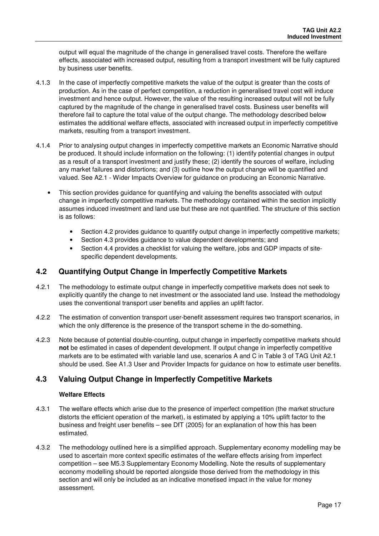output will equal the magnitude of the change in generalised travel costs. Therefore the welfare effects, associated with increased output, resulting from a transport investment will be fully captured by business user benefits.

- 4.1.3 In the case of imperfectly competitive markets the value of the output is greater than the costs of production. As in the case of perfect competition, a reduction in generalised travel cost will induce investment and hence output. However, the value of the resulting increased output will not be fully captured by the magnitude of the change in generalised travel costs. Business user benefits will therefore fail to capture the total value of the output change. The methodology described below estimates the additional welfare effects, associated with increased output in imperfectly competitive markets, resulting from a transport investment.
- 4.1.4 Prior to analysing output changes in imperfectly competitive markets an Economic Narrative should be produced. It should include information on the following: (1) identify potential changes in output as a result of a transport investment and justify these; (2) identify the sources of welfare, including any market failures and distortions; and (3) outline how the output change will be quantified and valued. See A2.1 - Wider Impacts Overview for guidance on producing an Economic Narrative.
	- This section provides guidance for quantifying and valuing the benefits associated with output change in imperfectly competitive markets. The methodology contained within the section implicitly assumes induced investment and land use but these are not quantified. The structure of this section is as follows:
		- Section 4.2 provides guidance to quantify output change in imperfectly competitive markets;
		- Section 4.3 provides guidance to value dependent developments; and
		- Section 4.4 provides a checklist for valuing the welfare, jobs and GDP impacts of sitespecific dependent developments.

### **4.2 Quantifying Output Change in Imperfectly Competitive Markets**

- 4.2.1 The methodology to estimate output change in imperfectly competitive markets does not seek to explicitly quantify the change to net investment or the associated land use. Instead the methodology uses the conventional transport user benefits and applies an uplift factor.
- 4.2.2 The estimation of convention transport user-benefit assessment requires two transport scenarios, in which the only difference is the presence of the transport scheme in the do-something.
- 4.2.3 Note because of potential double-counting, output change in imperfectly competitive markets should **not** be estimated in cases of dependent development. If output change in imperfectly competitive markets are to be estimated with variable land use, scenarios A and C in Table 3 of TAG Unit A2.1 should be used. See A1.3 User and Provider Impacts for guidance on how to estimate user benefits.

### **4.3 Valuing Output Change in Imperfectly Competitive Markets**

#### **Welfare Effects**

- 4.3.1 The welfare effects which arise due to the presence of imperfect competition (the market structure distorts the efficient operation of the market), is estimated by applying a 10% uplift factor to the business and freight user benefits – see DfT (2005) for an explanation of how this has been estimated.
- 4.3.2 The methodology outlined here is a simplified approach. Supplementary economy modelling may be used to ascertain more context specific estimates of the welfare effects arising from imperfect competition – see M5.3 Supplementary Economy Modelling. Note the results of supplementary economy modelling should be reported alongside those derived from the methodology in this section and will only be included as an indicative monetised impact in the value for money assessment.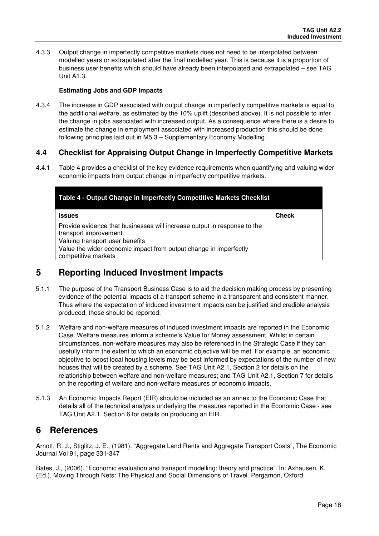4.3.3 Output change in imperfectly competitive markets does not need to be interpolated between modelled years or extrapolated after the final modelled year. This is because it is a proportion of business user benefits which should have already been interpolated and extrapolated – see TAG Unit A1.3.

### **Estimating Jobs and GDP Impacts**

4.3.4 The increase in GDP associated with output change in imperfectly competitive markets is equal to the additional welfare, as estimated by the 10% uplift (described above). It is not possible to infer the change in jobs associated with increased output. As a consequence where there is a desire to estimate the change in employment associated with increased production this should be done following principles laid out in M5.3 – Supplementary Economy Modelling.

# **4.4 Checklist for Appraising Output Change in Imperfectly Competitive Markets**

4.4.1 Table 4 provides a checklist of the key evidence requirements when quantifying and valuing wider economic impacts from output change in imperfectly competitive markets.

| Table 4 - Output Change in Imperfectly Competitive Markets Checklist                              |              |
|---------------------------------------------------------------------------------------------------|--------------|
| <b>Issues</b>                                                                                     | <b>Check</b> |
| Provide evidence that businesses will increase output in response to the<br>transport improvement |              |
| Valuing transport user benefits                                                                   |              |
| Value the wider economic impact from output change in imperfectly<br>competitive markets          |              |

# **5 Reporting Induced Investment Impacts**

- 5.1.1 The purpose of the Transport Business Case is to aid the decision making process by presenting evidence of the potential impacts of a transport scheme in a transparent and consistent manner. Thus where the expectation of induced investment impacts can be justified and credible analysis produced, these should be reported.
- 5.1.2 Welfare and non-welfare measures of induced investment impacts are reported in the Economic Case. Welfare measures inform a scheme's Value for Money assessment. Whilst in certain circumstances, non-welfare measures may also be referenced in the Strategic Case if they can usefully inform the extent to which an economic objective will be met. For example, an economic objective to boost local housing levels may be best informed by expectations of the number of new houses that will be created by a scheme. See TAG Unit A2.1, Section 2 for details on the relationship between welfare and non-welfare measures; and TAG Unit A2.1, Section 7 for details on the reporting of welfare and non-welfare measures of economic impacts.
- 5.1.3 An Economic Impacts Report (EIR) should be included as an annex to the Economic Case that details all of the technical analysis underlying the measures reported in the Economic Case - see TAG Unit A2.1, Section 6 for details on producing an EIR.

# **6 References**

Arnott, R. J., Stiglitz, J. E., (1981). "Aggregate Land Rents and Aggregate Transport Costs", The Economic Journal Vol 91, page 331-347

Bates, J., (2006). "Economic evaluation and transport modelling: theory and practice". In: Axhausen, K. (Ed.), Moving Through Nets: The Physical and Social Dimensions of Travel. Pergamon, Oxford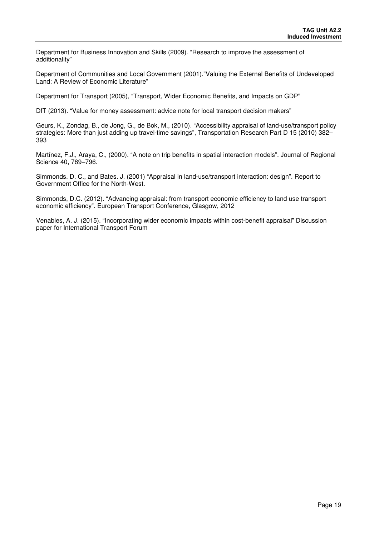Department for Business Innovation and Skills (2009). "Research to improve the assessment of additionality"

Department of Communities and Local Government (2001)."Valuing the External Benefits of Undeveloped Land: A Review of Economic Literature"

Department for Transport (2005), "Transport, Wider Economic Benefits, and Impacts on GDP"

DfT (2013). "Value for money assessment: advice note for local transport decision makers"

Geurs, K., Zondag, B., de Jong, G., de Bok, M., (2010). "Accessibility appraisal of land-use/transport policy strategies: More than just adding up travel-time savings", Transportation Research Part D 15 (2010) 382– 393

Martínez, F.J., Araya, C., (2000). "A note on trip benefits in spatial interaction models". Journal of Regional Science 40, 789–796.

Simmonds. D. C., and Bates. J. (2001) "Appraisal in land-use/transport interaction: design". Report to Government Office for the North-West.

Simmonds, D.C. (2012). "Advancing appraisal: from transport economic efficiency to land use transport economic efficiency". European Transport Conference, Glasgow, 2012

Venables, A. J. (2015). "Incorporating wider economic impacts within cost-benefit appraisal" Discussion paper for International Transport Forum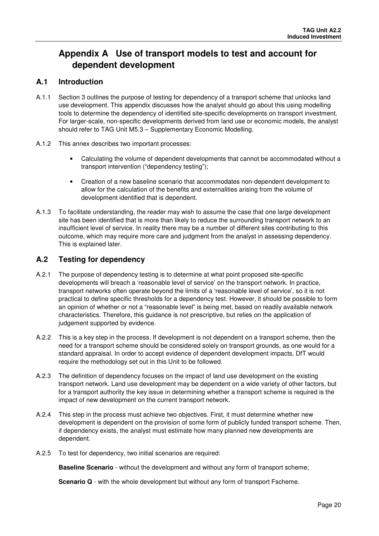# **Appendix A Use of transport models to test and account for dependent development**

# **A.1 Introduction**

- A.1.1 Section 3 outlines the purpose of testing for dependency of a transport scheme that unlocks land use development. This appendix discusses how the analyst should go about this using modelling tools to determine the dependency of identified site-specific developments on transport investment. For larger-scale, non-specific developments derived from land use or economic models, the analyst should refer to TAG Unit M5.3 – Supplementary Economic Modelling.
- A.1.2 This annex describes two important processes:
	- Calculating the volume of dependent developments that cannot be accommodated without a transport intervention ("dependency testing");
	- Creation of a new baseline scenario that accommodates non-dependent development to allow for the calculation of the benefits and externalities arising from the volume of development identified that is dependent.
- A.1.3 To facilitate understanding, the reader may wish to assume the case that one large development site has been identified that is more than likely to reduce the surrounding transport network to an insufficient level of service. In reality there may be a number of different sites contributing to this outcome, which may require more care and judgment from the analyst in assessing dependency. This is explained later.

### **A.2 Testing for dependency**

- A.2.1 The purpose of dependency testing is to determine at what point proposed site-specific developments will breach a 'reasonable level of service' on the transport network. In practice, transport networks often operate beyond the limits of a 'reasonable level of service', so it is not practical to define specific thresholds for a dependency test. However, it should be possible to form an opinion of whether or not a "reasonable level" is being met, based on readily available network characteristics. Therefore, this guidance is not prescriptive, but relies on the application of judgement supported by evidence.
- A.2.2 This is a key step in the process. If development is not dependent on a transport scheme, then the need for a transport scheme should be considered solely on transport grounds, as one would for a standard appraisal. In order to accept evidence of dependent development impacts, DfT would require the methodology set out in this Unit to be followed.
- A.2.3 The definition of dependency focuses on the impact of land use development on the existing transport network. Land use development may be dependent on a wide variety of other factors, but for a transport authority the key issue in determining whether a transport scheme is required is the impact of new development on the current transport network.
- A.2.4 This step in the process must achieve two objectives. First, it must determine whether new development is dependent on the provision of some form of publicly funded transport scheme. Then, if dependency exists, the analyst must estimate how many planned new developments are dependent.
- A.2.5 To test for dependency, two initial scenarios are required:

**Baseline Scenario** - without the development and without any form of transport scheme;

**Scenario Q** - with the whole development but without any form of transport Fscheme.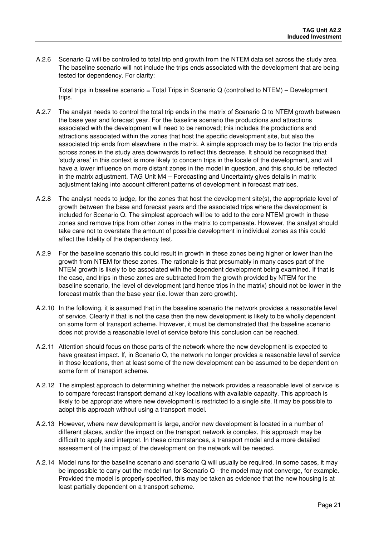A.2.6 Scenario Q will be controlled to total trip end growth from the NTEM data set across the study area. The baseline scenario will not include the trips ends associated with the development that are being tested for dependency. For clarity:

Total trips in baseline scenario = Total Trips in Scenario Q (controlled to NTEM) – Development trips.

- A.2.7 The analyst needs to control the total trip ends in the matrix of Scenario Q to NTEM growth between the base year and forecast year. For the baseline scenario the productions and attractions associated with the development will need to be removed; this includes the productions and attractions associated within the zones that host the specific development site, but also the associated trip ends from elsewhere in the matrix. A simple approach may be to factor the trip ends across zones in the study area downwards to reflect this decrease. It should be recognised that 'study area' in this context is more likely to concern trips in the locale of the development, and will have a lower influence on more distant zones in the model in question, and this should be reflected in the matrix adjustment. TAG Unit M4 – Forecasting and Uncertainty gives details in matrix adjustment taking into account different patterns of development in forecast matrices.
- A.2.8 The analyst needs to judge, for the zones that host the development site(s), the appropriate level of growth between the base and forecast years and the associated trips where the development is included for Scenario Q. The simplest approach will be to add to the core NTEM growth in these zones and remove trips from other zones in the matrix to compensate. However, the analyst should take care not to overstate the amount of possible development in individual zones as this could affect the fidelity of the dependency test.
- A.2.9 For the baseline scenario this could result in growth in these zones being higher or lower than the growth from NTEM for these zones. The rationale is that presumably in many cases part of the NTEM growth is likely to be associated with the dependent development being examined. If that is the case, and trips in these zones are subtracted from the growth provided by NTEM for the baseline scenario, the level of development (and hence trips in the matrix) should not be lower in the forecast matrix than the base year (i.e. lower than zero growth).
- A.2.10 In the following, it is assumed that in the baseline scenario the network provides a reasonable level of service. Clearly if that is not the case then the new development is likely to be wholly dependent on some form of transport scheme. However, it must be demonstrated that the baseline scenario does not provide a reasonable level of service before this conclusion can be reached.
- A.2.11 Attention should focus on those parts of the network where the new development is expected to have greatest impact. If, in Scenario Q, the network no longer provides a reasonable level of service in those locations, then at least some of the new development can be assumed to be dependent on some form of transport scheme.
- A.2.12 The simplest approach to determining whether the network provides a reasonable level of service is to compare forecast transport demand at key locations with available capacity. This approach is likely to be appropriate where new development is restricted to a single site. It may be possible to adopt this approach without using a transport model.
- A.2.13 However, where new development is large, and/or new development is located in a number of different places, and/or the impact on the transport network is complex, this approach may be difficult to apply and interpret. In these circumstances, a transport model and a more detailed assessment of the impact of the development on the network will be needed.
- A.2.14 Model runs for the baseline scenario and scenario Q will usually be required. In some cases, it may be impossible to carry out the model run for Scenario Q - the model may not converge, for example. Provided the model is properly specified, this may be taken as evidence that the new housing is at least partially dependent on a transport scheme.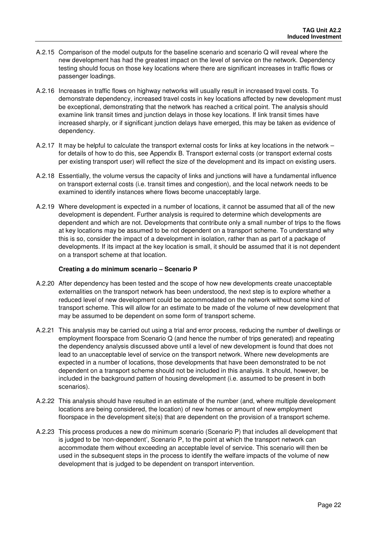- A.2.15 Comparison of the model outputs for the baseline scenario and scenario Q will reveal where the new development has had the greatest impact on the level of service on the network. Dependency testing should focus on those key locations where there are significant increases in traffic flows or passenger loadings.
- A.2.16 Increases in traffic flows on highway networks will usually result in increased travel costs. To demonstrate dependency, increased travel costs in key locations affected by new development must be exceptional, demonstrating that the network has reached a critical point. The analysis should examine link transit times and junction delays in those key locations. If link transit times have increased sharply, or if significant junction delays have emerged, this may be taken as evidence of dependency.
- A.2.17 It may be helpful to calculate the transport external costs for links at key locations in the network for details of how to do this, see Appendix B. Transport external costs (or transport external costs per existing transport user) will reflect the size of the development and its impact on existing users.
- A.2.18 Essentially, the volume versus the capacity of links and junctions will have a fundamental influence on transport external costs (i.e. transit times and congestion), and the local network needs to be examined to identify instances where flows become unacceptably large.
- A.2.19 Where development is expected in a number of locations, it cannot be assumed that all of the new development is dependent. Further analysis is required to determine which developments are dependent and which are not. Developments that contribute only a small number of trips to the flows at key locations may be assumed to be not dependent on a transport scheme. To understand why this is so, consider the impact of a development in isolation, rather than as part of a package of developments. If its impact at the key location is small, it should be assumed that it is not dependent on a transport scheme at that location.

#### **Creating a do minimum scenario – Scenario P**

- A.2.20 After dependency has been tested and the scope of how new developments create unacceptable externalities on the transport network has been understood, the next step is to explore whether a reduced level of new development could be accommodated on the network without some kind of transport scheme. This will allow for an estimate to be made of the volume of new development that may be assumed to be dependent on some form of transport scheme.
- A.2.21 This analysis may be carried out using a trial and error process, reducing the number of dwellings or employment floorspace from Scenario Q (and hence the number of trips generated) and repeating the dependency analysis discussed above until a level of new development is found that does not lead to an unacceptable level of service on the transport network. Where new developments are expected in a number of locations, those developments that have been demonstrated to be not dependent on a transport scheme should not be included in this analysis. It should, however, be included in the background pattern of housing development (i.e. assumed to be present in both scenarios).
- A.2.22 This analysis should have resulted in an estimate of the number (and, where multiple development locations are being considered, the location) of new homes or amount of new employment floorspace in the development site(s) that are dependent on the provision of a transport scheme.
- A.2.23 This process produces a new do minimum scenario (Scenario P) that includes all development that is judged to be 'non-dependent', Scenario P, to the point at which the transport network can accommodate them without exceeding an acceptable level of service. This scenario will then be used in the subsequent steps in the process to identify the welfare impacts of the volume of new development that is judged to be dependent on transport intervention.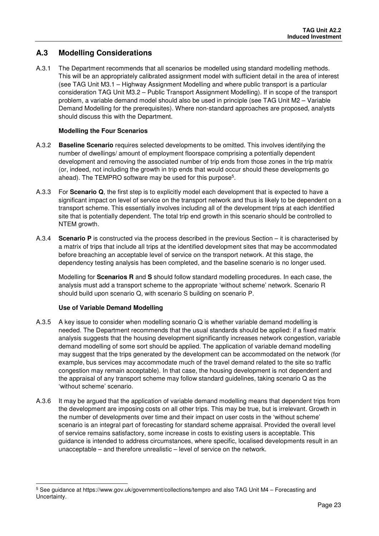# **A.3 Modelling Considerations**

A.3.1 The Department recommends that all scenarios be modelled using standard modelling methods. This will be an appropriately calibrated assignment model with sufficient detail in the area of interest (see TAG Unit M3.1 – Highway Assignment Modelling and where public transport is a particular consideration TAG Unit M3.2 – Public Transport Assignment Modelling). If in scope of the transport problem, a variable demand model should also be used in principle (see TAG Unit M2 – Variable Demand Modelling for the prerequisites). Where non-standard approaches are proposed, analysts should discuss this with the Department.

### **Modelling the Four Scenarios**

- A.3.2 **Baseline Scenario** requires selected developments to be omitted. This involves identifying the number of dwellings/ amount of employment floorspace comprising a potentially dependent development and removing the associated number of trip ends from those zones in the trip matrix (or, indeed, not including the growth in trip ends that would occur should these developments go ahead). The TEMPRO software may be used for this purpose<sup>5</sup>.
- A.3.3 For **Scenario Q**, the first step is to explicitly model each development that is expected to have a significant impact on level of service on the transport network and thus is likely to be dependent on a transport scheme. This essentially involves including all of the development trips at each identified site that is potentially dependent. The total trip end growth in this scenario should be controlled to NTEM growth.
- A.3.4 **Scenario P** is constructed via the process described in the previous Section it is characterised by a matrix of trips that include all trips at the identified development sites that may be accommodated before breaching an acceptable level of service on the transport network. At this stage, the dependency testing analysis has been completed, and the baseline scenario is no longer used.

Modelling for **Scenarios R** and **S** should follow standard modelling procedures. In each case, the analysis must add a transport scheme to the appropriate 'without scheme' network. Scenario R should build upon scenario Q, with scenario S building on scenario P.

### **Use of Variable Demand Modelling**

l

- A.3.5 A key issue to consider when modelling scenario Q is whether variable demand modelling is needed. The Department recommends that the usual standards should be applied: if a fixed matrix analysis suggests that the housing development significantly increases network congestion, variable demand modelling of some sort should be applied. The application of variable demand modelling may suggest that the trips generated by the development can be accommodated on the network (for example, bus services may accommodate much of the travel demand related to the site so traffic congestion may remain acceptable). In that case, the housing development is not dependent and the appraisal of any transport scheme may follow standard guidelines, taking scenario Q as the 'without scheme' scenario.
- A.3.6 It may be argued that the application of variable demand modelling means that dependent trips from the development are imposing costs on all other trips. This may be true, but is irrelevant. Growth in the number of developments over time and their impact on user costs in the 'without scheme' scenario is an integral part of forecasting for standard scheme appraisal. Provided the overall level of service remains satisfactory, some increase in costs to existing users is acceptable. This guidance is intended to address circumstances, where specific, localised developments result in an unacceptable – and therefore unrealistic – level of service on the network.

<sup>5</sup> See guidance at https://www.gov.uk/government/collections/tempro and also TAG Unit M4 – Forecasting and Uncertainty.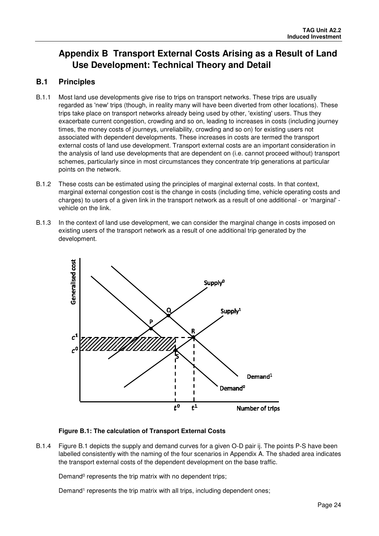# **Appendix B Transport External Costs Arising as a Result of Land Use Development: Technical Theory and Detail**

# **B.1 Principles**

- B.1.1 Most land use developments give rise to trips on transport networks. These trips are usually regarded as 'new' trips (though, in reality many will have been diverted from other locations). These trips take place on transport networks already being used by other, 'existing' users. Thus they exacerbate current congestion, crowding and so on, leading to increases in costs (including journey times, the money costs of journeys, unreliability, crowding and so on) for existing users not associated with dependent developments. These increases in costs are termed the transport external costs of land use development. Transport external costs are an important consideration in the analysis of land use developments that are dependent on (i.e. cannot proceed without) transport schemes, particularly since in most circumstances they concentrate trip generations at particular points on the network.
- B.1.2 These costs can be estimated using the principles of marginal external costs. In that context, marginal external congestion cost is the change in costs (including time, vehicle operating costs and charges) to users of a given link in the transport network as a result of one additional - or 'marginal' vehicle on the link.
- B.1.3 In the context of land use development, we can consider the marginal change in costs imposed on existing users of the transport network as a result of one additional trip generated by the development.



### **Figure B.1: The calculation of Transport External Costs**

B.1.4 Figure B.1 depicts the supply and demand curves for a given O-D pair ij. The points P-S have been labelled consistently with the naming of the four scenarios in Appendix A. The shaded area indicates the transport external costs of the dependent development on the base traffic.

Demand<sup>0</sup> represents the trip matrix with no dependent trips;

Demand<sup>1</sup> represents the trip matrix with all trips, including dependent ones;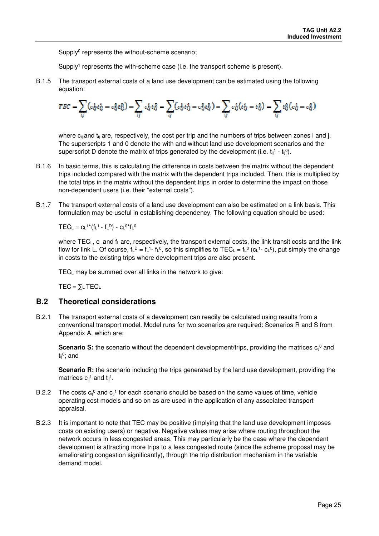Supply<sup>0</sup> represents the without-scheme scenario;

Supply<sup>1</sup> represents the with-scheme case (i.e. the transport scheme is present).

B.1.5 The transport external costs of a land use development can be estimated using the following equation:

$$
TEC = \sum_{ij} (c_{ij}^1 t_{ij}^1 - c_{ij}^0 t_{ij}^0) - \sum_{ij} c_{ij}^1 t_{ij}^p = \sum_{ij} (c_{ij}^1 t_{ij}^1 - c_{ij}^0 t_{ij}^0) - \sum_{ij} c_{ij}^1 (t_{ij}^1 - t_{ij}^0) = \sum_{ij} t_{ij}^0 (c_{ij}^1 - c_{ij}^0)
$$

where  $c_{ij}$  and  $t_{ij}$  are, respectively, the cost per trip and the numbers of trips between zones i and j. The superscripts 1 and 0 denote the with and without land use development scenarios and the superscript D denote the matrix of trips generated by the development (i.e.  $t_{ij}$ <sup>1</sup> -  $t_{ij}$ <sup>0</sup>).

- B.1.6 In basic terms, this is calculating the difference in costs between the matrix without the dependent trips included compared with the matrix with the dependent trips included. Then, this is multiplied by the total trips in the matrix without the dependent trips in order to determine the impact on those non-dependent users (i.e. their "external costs").
- B.1.7 The transport external costs of a land use development can also be estimated on a link basis. This formulation may be useful in establishing dependency. The following equation should be used:

 $\mathsf{T}\mathsf{EC}_\mathsf{L}=\mathsf{C}\mathsf{L}^{1*}(\mathsf{f}\mathsf{L}^1\mathsf{-}\mathsf{f}\mathsf{L}^\mathsf{D})$  -  $\mathsf{C}\mathsf{L}^{0*}\mathsf{f}\mathsf{L}^0$ 

where  $TEC<sub>L</sub>$ ,  $c<sub>L</sub>$  and  $f<sub>L</sub>$  are, respectively, the transport external costs, the link transit costs and the link flow for link L. Of course, f∟<sup>D</sup> = f∟<sup>1</sup>- f∟<sup>0</sup>, so this simplifies to TEC∟ = f∟<sup>0</sup> (c∟<sup>1</sup>- c∟<sup>0</sup>), put simply the change in costs to the existing trips where development trips are also present.

TECL may be summed over all links in the network to give:

 $TEC = \sum L TEC_L$ 

### **B.2 Theoretical considerations**

B.2.1 The transport external costs of a development can readily be calculated using results from a conventional transport model. Model runs for two scenarios are required: Scenarios R and S from Appendix A, which are:

**Scenario S:** the scenario without the dependent development/trips, providing the matrices c<sub>ij</sub><sup>0</sup> and t<sub>ij</sub>º; and

**Scenario R:** the scenario including the trips generated by the land use development, providing the matrices  $c_{ij}$ <sup>1</sup> and  $t_{ij}$ <sup>1</sup>.

- B.2.2 The costs  $c_{ij}$ <sup>0</sup> and  $c_{ij}$ <sup>1</sup> for each scenario should be based on the same values of time, vehicle operating cost models and so on as are used in the application of any associated transport appraisal.
- B.2.3 It is important to note that TEC may be positive (implying that the land use development imposes costs on existing users) or negative. Negative values may arise where routing throughout the network occurs in less congested areas. This may particularly be the case where the dependent development is attracting more trips to a less congested route (since the scheme proposal may be ameliorating congestion significantly), through the trip distribution mechanism in the variable demand model.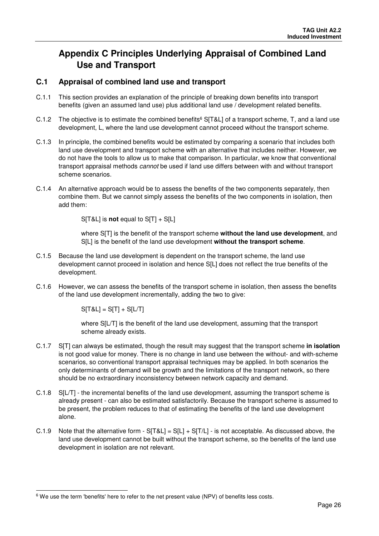# **Appendix C Principles Underlying Appraisal of Combined Land Use and Transport**

## **C.1 Appraisal of combined land use and transport**

- C.1.1 This section provides an explanation of the principle of breaking down benefits into transport benefits (given an assumed land use) plus additional land use / development related benefits.
- C.1.2 The objective is to estimate the combined benefits<sup>6</sup> S[T&L] of a transport scheme, T, and a land use development, L, where the land use development cannot proceed without the transport scheme.
- C.1.3 In principle, the combined benefits would be estimated by comparing a scenario that includes both land use development and transport scheme with an alternative that includes neither. However, we do not have the tools to allow us to make that comparison. In particular, we know that conventional transport appraisal methods cannot be used if land use differs between with and without transport scheme scenarios.
- C.1.4 An alternative approach would be to assess the benefits of the two components separately, then combine them. But we cannot simply assess the benefits of the two components in isolation, then add them:

S[T&L] is **not** equal to S[T] + S[L]

 where S[T] is the benefit of the transport scheme **without the land use development**, and S[L] is the benefit of the land use development **without the transport scheme**.

- C.1.5 Because the land use development is dependent on the transport scheme, the land use development cannot proceed in isolation and hence S[L] does not reflect the true benefits of the development.
- C.1.6 However, we can assess the benefits of the transport scheme in isolation, then assess the benefits of the land use development incrementally, adding the two to give:

 $S[T&L] = S[T] + S[L/T]$ 

l

 where S[L/T] is the benefit of the land use development, assuming that the transport scheme already exists.

- C.1.7 S[T] can always be estimated, though the result may suggest that the transport scheme **in isolation** is not good value for money. There is no change in land use between the without- and with-scheme scenarios, so conventional transport appraisal techniques may be applied. In both scenarios the only determinants of demand will be growth and the limitations of the transport network, so there should be no extraordinary inconsistency between network capacity and demand.
- C.1.8 S[L/T] the incremental benefits of the land use development, assuming the transport scheme is already present - can also be estimated satisfactorily. Because the transport scheme is assumed to be present, the problem reduces to that of estimating the benefits of the land use development alone.
- C.1.9 Note that the alternative form  $-S[T&L] = S[L] + S[T/L]$  is not acceptable. As discussed above, the land use development cannot be built without the transport scheme, so the benefits of the land use development in isolation are not relevant.

 $^6$  We use the term 'benefits' here to refer to the net present value (NPV) of benefits less costs.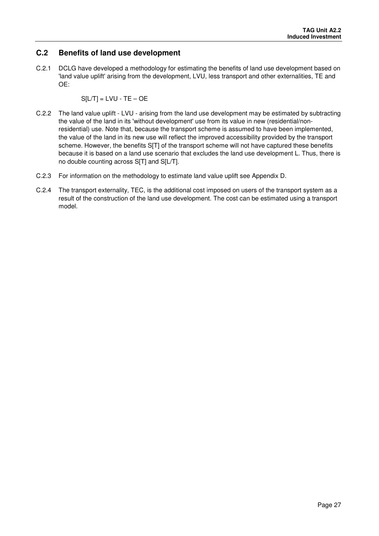# **C.2 Benefits of land use development**

C.2.1 DCLG have developed a methodology for estimating the benefits of land use development based on 'land value uplift' arising from the development, LVU, less transport and other externalities, TE and OE:

 $S[L/T] = LVU - TE - OE$ 

- C.2.2 The land value uplift LVU arising from the land use development may be estimated by subtracting the value of the land in its 'without development' use from its value in new (residential/nonresidential) use. Note that, because the transport scheme is assumed to have been implemented, the value of the land in its new use will reflect the improved accessibility provided by the transport scheme. However, the benefits S[T] of the transport scheme will not have captured these benefits because it is based on a land use scenario that excludes the land use development L. Thus, there is no double counting across S[T] and S[L/T].
- C.2.3 For information on the methodology to estimate land value uplift see Appendix D.
- C.2.4 The transport externality, TEC, is the additional cost imposed on users of the transport system as a result of the construction of the land use development. The cost can be estimated using a transport model.